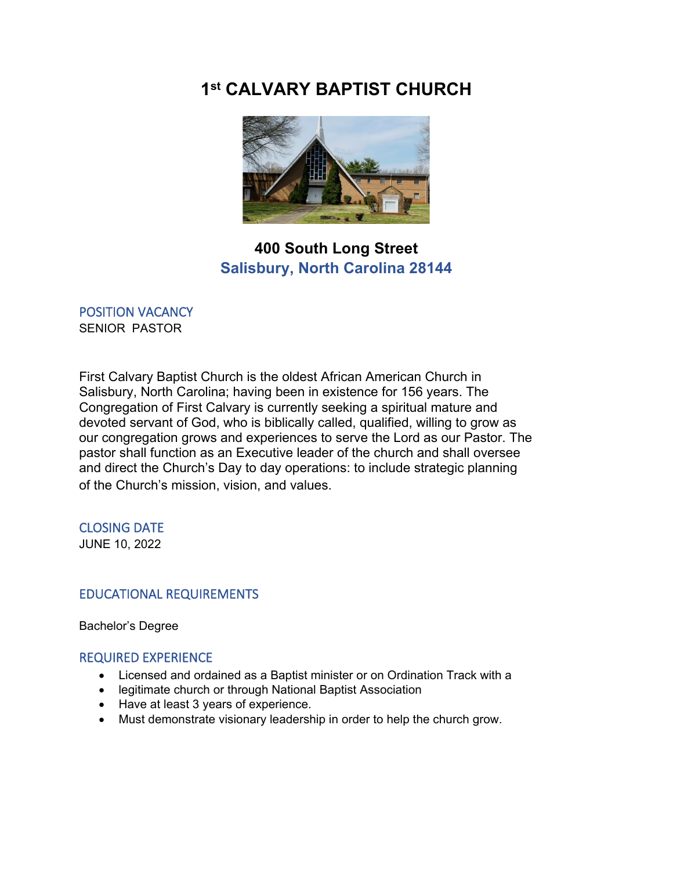# **1st CALVARY BAPTIST CHURCH**



# **400 South Long Street Salisbury, North Carolina 28144**

## POSITION VACANCY SENIOR PASTOR

First Calvary Baptist Church is the oldest African American Church in Salisbury, North Carolina; having been in existence for 156 years. The Congregation of First Calvary is currently seeking a spiritual mature and devoted servant of God, who is biblically called, qualified, willing to grow as our congregation grows and experiences to serve the Lord as our Pastor. The pastor shall function as an Executive leader of the church and shall oversee and direct the Church's Day to day operations: to include strategic planning of the Church's mission, vision, and values.

## CLOSING DATE

JUNE 10, 2022

## EDUCATIONAL REQUIREMENTS

Bachelor's Degree

### REQUIRED EXPERIENCE

- Licensed and ordained as a Baptist minister or on Ordination Track with a
- legitimate church or through National Baptist Association
- Have at least 3 years of experience.
- Must demonstrate visionary leadership in order to help the church grow.